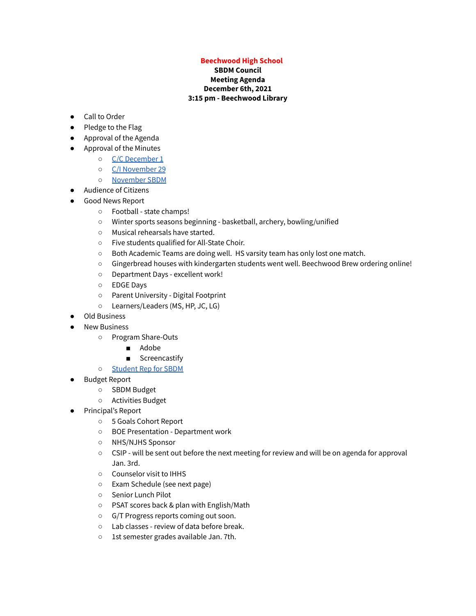## **Beechwood High School**

## **SBDM Council Meeting Agenda December 6th, 2021 3:15 pm - Beechwood Library**

- Call to Order
- Pledge to the Flag
- Approval of the Agenda
- Approval of the Minutes
	- C/C [December](https://drive.google.com/file/d/1eCLgLEmdKJKsqjoCcBALxT6LBYmLlOB7/view?usp=sharing) 1
	- C/I [November](https://docs.google.com/document/d/1_c9OwywIney8Dj8gXZh5tMTTlVXUhbEQfs0DjENcZko/edit?usp=sharing) 29
	- [November](https://docs.google.com/document/d/1_wVCtm0t1M9iOIF9x2aqUdpUuXactb2H1HnlNkwzZBY/edit?usp=sharing) SBDM
- Audience of Citizens
- Good News Report
	- Football state champs!
	- Winter sports seasons beginning basketball, archery, bowling/unified
	- Musical rehearsals have started.
	- Five students qualified for All-State Choir.
	- Both Academic Teams are doing well. HS varsity team has only lost one match.
	- Gingerbread houses with kindergarten students went well. Beechwood Brew ordering online!
	- Department Days excellent work!
	- EDGE Days
	- Parent University Digital Footprint
	- Learners/Leaders (MS, HP, JC, LG)
- Old Business
- **New Business** 
	- Program Share-Outs
		- Adobe
		- Screencastify
	- [Student](https://drive.google.com/file/d/1qSoneD3XG9nCjwlL5yYwLHaCTaUaQsRq/view?usp=sharing) Rep for SBDM
- Budget Report
	- SBDM Budget
	- Activities Budget
- Principal's Report
	- 5 Goals Cohort Report
	- BOE Presentation Department work
	- NHS/NJHS Sponsor
	- CSIP will be sent out before the next meeting for review and will be on agenda for approval Jan. 3rd.
	- Counselor visit to IHHS
	- Exam Schedule (see next page)
	- Senior Lunch Pilot
	- PSAT scores back & plan with English/Math
	- G/T Progress reports coming out soon.
	- Lab classes review of data before break.
	- 1st semester grades available Jan. 7th.